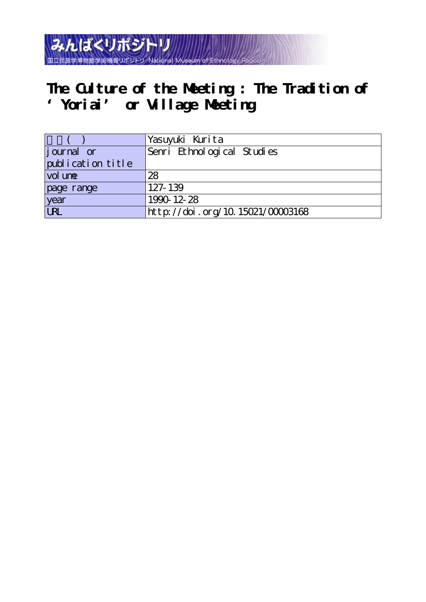National Museum of **The Culture of the Meeting : The Tradition of** 

**'Yoriai' or Village Meeting**

みんぱくリポジトリ

国立民族学博物館学術情報リボジトリ

|                    | Yasuyuki Kurita                  |
|--------------------|----------------------------------|
| <i>j</i> ournal or | Senri Ethnological Studies       |
| publication title  |                                  |
| vol une            | 28                               |
| page range         | 127-139                          |
| year               | 1990-12-28                       |
| URL                | http://doi.org/10.15021/00003168 |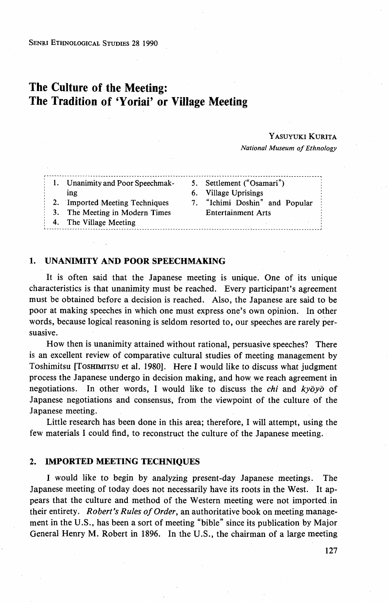# The Culture of the Meeting: The Tradition of `Yoriai' or Village Meeting

#### YASUYUKI KURITA

National Museum of Ethnology

| Unanimity and Poor Speechmak-<br>ing                             | 5. Settlement ("Osamari")<br>6. Village Uprisings           |
|------------------------------------------------------------------|-------------------------------------------------------------|
| 2. Imported Meeting Techniques<br>3. The Meeting in Modern Times | 7. "Ichimi Doshin" and Popular<br><b>Entertainment Arts</b> |
| 4. The Village Meeting                                           |                                                             |

#### 1. UNANIMITY AND POOR SPEECHMAKING

 It is often said that the Japanese meeting is unique. One of its unique characteristics is that unanimity must be reached. Every participant's agreement must be obtained before a decision is reached. Also, the Japanese are said to be poor at making speeches in which one must express one's own opinion. In other words, because logical reasoning is seldom resorted to, our speeches are rarely persuasive.

 How then is unanimity attained without rational, persuasive speeches? There is an excellent review of comparative cultural studies of meeting management by Toshimitsu [TosHiMiTsu et al. 1980]. Here I would like to discuss what judgment process the Japanese undergo in decision making, and how we reach agreement in negotiations. In other words, I would like to discuss the *chi* and  $ky\bar{o}y\bar{o}$  of Japanese negotiations and consensus, from the viewpoint of the culture of the Japanese meeting.

 Little research has been done in this area; therefore, I will attempt, using the few materials I could find, to reconstruct the culture of the Japanese meeting.

#### 2. IMPORTED MEETING TECHNIQUES

 I would like to begin by analyzing present-day Japanese meetings. The Japanese meeting of today does not necessarily have its roots in the West. It appears that the culture and method of the Western meeting were not imported,in their entirety. Robert's Rules of Order, an authoritative book on meeting management in the U.S., has been a sort of meeting "bible" since its publication by Major General Henry M. Robert in 1896. In the U.S., the chairman of a large meeting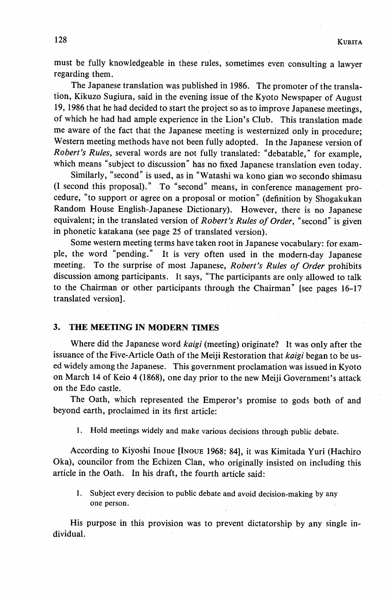must be fully knowledgeable in these rules, sometimes even consulting a lawyer regarding them.

The Japanese translation was published in 1986. The promoter of the translation, Kikuzo Sugiura, said in the evening issue of the Kyoto Newspaper of August 19, 1986 that he had decided to start the project so as to improve Japanese meetings, of which he had had ample experience in the Lion's Club. This translation made me aware of the fact that the Japanese meeting is westernized only in procedure; Western meeting methods have not been fu11y adopted. In the Japanese version of Robert's Rules, several words are not fully translated: "debatable," for example, which means "subject to discussion" has no fixed Japanese translation even today.

 Similarly, "second" is used, as in "Watashi wa kono gian wo secondo shimasu (I.second this proposal)." To "second" means, in conference management procedure, "to support or agree on a proposal or motion" (definition by Shogakukan Random House English-Japanese Dictionary). However, there is no Japanese equivalent; in the translated version of Robert's Rules of Order, "second" is given in phonetic katakana (see page 25 of translated version).

 Some western meeting terms have taken root in Japanese vocabulary: for example, the word "pending." It is very often used in the modern-day Japanese meeting. To the surprise of most Japanese, Robert's Rules of Order prohibits discussion among participants. It says, "The participants are only allowed to talk to the Chairman or other participants through the Chairman" [see pages 16-17 translated version].

#### 3. THE MEETING IN MODERN TIMES

Where did the Japanese word *kaigi* (meeting) originate? It was only after the issuance of the Five-Article Oath of the Meiji Restoration that kaigi began to be used widely among the Japanese. This government proclamation was issued in Kyoto on March 14 of Keio 4 (1868), one day prior to the new Meiji Government's attack on the Edo castle.

 The Oath, which represented the Emperor's promise to gods both of and beyond earth, proclaimed in its first article:

1. Hold meetings widely and make various decisions through public debate.

According to Kiyoshi Inoue [INOUE 1968: 84], it was Kimitada Yuri (Hachiro Oka), councilor from the Echizen Clan, who originally insisted on including this article in the Oath. In his draft, the fourth article said:

1. Subject every decision to public debate and avoid decision-making by any one person.

 His purpose in this provision was to prevent dictatorship by any single individual.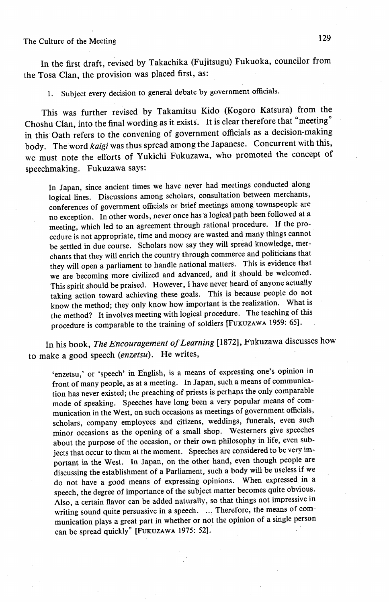In the first draft, revised by Takachika (Fujitsugu) Fukuoka, councilor from the Tosa Clan, the provision was placed first, as:

1. Subject every decision to general debate by government officials.

 This was further revised by Takamitsu Kido (Kogoro Katsura) from the Choshu Clan, into the final wording as it exists. It is clear therefore that "meeting" in this Oath refers to the convening of government officials as a decision-making body. The word kaigi was thus spread among the Japanese. Concurrent with this, we must note the efforts of Yukichi Fukuzawa, who promoted the concept of speechmaking. Fukuzawa says:

 In Japan, since ancient times we have never had meetings conducted along logical lines. Discussions among scholars, consultation between merchants, conferences of government officials or brief meetings among townspeople are no exception. In other words, never once has a logical path been followed at a meeting, which led to an agreement through rational procedure. If the pro cedure is not appropriate, time and money are wasted and many things cannot be settled in due course. Scholars now say they will spread knowledge, mer chants that they will enrich the country through commerce and politicians that they will open a parliament to handle national matters. This is evidence that we are becoming more civilized and advanced, and it should be welcomed. This spirit should be praised. However, I have never heard of anyone actually taking action toward achieving these goals. This is because people do not know the method; they only know how important is the realization. What is the method? It involves meeting with logical procedure . The teaching of this procedure is comparable to the training of soldiers [FUKUZAWA 1959: 65].

In his book, The Encouragement of Learning [1872], Fukuzawa discusses how to make a good speech (enzetsu). He writes,

'enzetsu,' or 'speech' in English, is a means of expressing one's opinion in front of many people, as at a meeting. In Japan, such a means of commumca tion has never existed; the preaching of priests is perhaps the only comparable mode of speaking. Speeches have long been a very popular means of com munication in the West, on such occasions as meetings of government officials, scholars, company employees and citizens, weddings, funerals, even such minor occasions as the opening of a small shop. Westerners give speeches about the purpose of the occasion, or their own philosophy in life, even sub jects that occur to them at the moment. Speeches are considered to be very im portant in the West. In Japan, on the other hand, even though people are discussing the establishment of a Parliament, such a body will be useless if we do not have a good means of expressing opinions. When expressed in a speech, the degree of importance of the subject matter becomes quite obvious. Also, a certain fiavor can be added naturally, so that things not impressive in writing sound quite persuasive in a speech. ... Therefore, the means of communication plays a great part in whether or not the opinion of a single person can be spread quickly" [FUKUZAWA 1975: 52].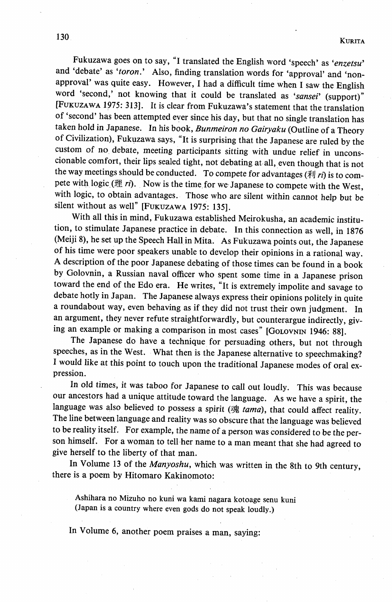Fukuzawa goes on to say, "I translated the English word 'speech' as 'enzetsu' and 'debate' as 'toron.' Also, finding translation words for 'approval' and 'nonapproval' was quite easy. However, I had a difficult time when I saw the English word 'second,' not knowing that it could be translated as 'sansei' (support)" [FuKuzAwA 1975: 3131. It is clear from Fukuzawa's statement that the translation of 'second' has been attempted ever since his day, but that no single translation has taken hold in Japanese. In his book, Bunmeiron no Gairyaku (Outline of a Theory of Civilization), Fukuzawa says, "It is surprising that the Japanese are ruled by the custom of no debate, meeting participants sitting with undue relief in uncons cionable comfort, their lips sealed tight, not debating at all, even though that is not the way meetings should be conducted. To compete for advantages ( $\bar{x}$ ) is to compete with logic. (理  $ri$ ). Now is the time for we Japanese to compete with the West, with logic, to obtain advantages. Those who are silent within cannot help but be silent without as well" [FUKUZAWA 1975: 135].

 With all this in mind, Fukuzawa established Meirokusha, an academic institu tion, to stimulate Japanese practice in debate. In this connection as well, in 1876 (Meiji 8), he set up the Speech Hall in Mita. As Fukuzawa points out, the Japanese of his time were poor speakers unable to develop their opinions in a rational way. A description of the poor Japanese debating of those times can be found in a book by Golovnin, a Russian naval officer who spent some time in a Japanese prison toward the end of the Edo era. He writes, "It is extremely impolite and savage to debate hotly in Japan. The Japanese always express their opinions politely in quite a roundabout way, even behaving as if they did not trust their own judgment. In an argument, they never refute straightforwardly, but counterargue indirectly, giv ing an example or making a comparison in most cases" [GOLOVNIN 1946: 88].

 The Japanese do have a technique for persuading others, but not through speeches, as in the West. What then is the Japanese alternative to speechmaking? I would like at this point to touch upon the traditional Japanese modes of oral ex presslon.

 In old times, it was taboo for Japanese to call out loudly. This was because our ancestors had a unique attitude toward the language. As we have a spirit, the language was also believed to possess a spirit (魂 tama), that could affect reality. The line between language and reality was so obscure that the language was believed to be reality itself. For example, the name of a person was eonsidered to be the per son himself. For a woman to tell her name to a man meant that she had agreed to give herself to the liberty of that man.

 In Volume 13 of the Manyoshu, which was written in the 8th to 9th century, there is a poem by Hitomaro Kakinomoto:

 Ashihara no Mizuho no kuni wa kami nagara kotoage senu kuni (Japan is a country where even gods do not speak loudly.)

In Volume 6, another poem praises a man, saying: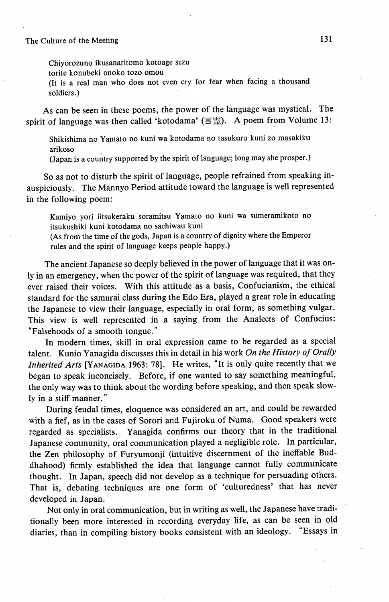Chiyorozuno ikusanaritomo kotoage sezu

torite konubeki onoko tozo omou

 (It is a real man who does not even cry for fear when facing a thousand soldiers.)

 As can be seen in these poems, the power of the language was mystical. The spirit of language was then called 'kotodama' ( $\equiv \equiv$ ). A poem from Volume 13:

 Shikishima no Yamato no kuni wa kotodama no tasukuru kuni zo masakiku arikoso

(Japan is a country supported by the spirit of language; long may she prosper.)

So as not to disturb the spirit of language, people refrained from speaking inauspiciously. The Mannyo Period attitude toward the language is well represented in the following poem:

 Kamiyo yori iitsukeraku soramitsu Yamato no kuni wa sumeramikoto no itsukushiki kuni kotodama no sachiwau kuni

 (As from the time of the gods, Japan is a country of dignity where the Emperor rules and the spirit of language keeps people happy.)

 The ancient Japanese so deeply believed in the power of language that it was only in an emergency, when the power of the spirit of language was required, that they ever raised their voices. With this attitude as a basis, Confucianism, the ethical standard for the samurai class during the Edo Era, played a great role in educating the Japanese to view their language, especially in oral form, as something vulgar. This view is well represented in a saying from the Analects of Confucius: "Falsehoods of a smooth tongue."

 In modern times, skill in oral expression came to be regarded as a special talent. Kunio Yanagida discusses this in detail in his work On the History of Orally Inherited Arts [YANAGiDA 1963: 78]. He writes, "It is only quite recently that we began to speak inconcisely. Before, if one wanted to say something meaningful, the only way was to think about the wording before speaking, and then speak slowly in a stiff manner."

 During feudal times, eloquence was considered an art, and could be rewarded with a fief, as in the cases of Sorori and Fujiroku of Numa. Good speakers were regarded as specialists. Yanagida confirms our theory that in the traditional Japanese community, oral communication played a negligible role. In particular, the Zen philosophy of Furyumonji (intuitive discernment of the ineffable Buddhahood) firmly established the idea that language cannot fully communicate thought. In Japan, speech did not develop as a technique for persuading others. That is, debating techniques are one form of 'culturedness' that has never developed in Japan.'

 Not only in oral communication, but in writing as wel!, the Japanese have tradi tionally been more interested in recording everyday life, as can be seen in old diaries, than in compiling history books consistent with an ideology. "Essays in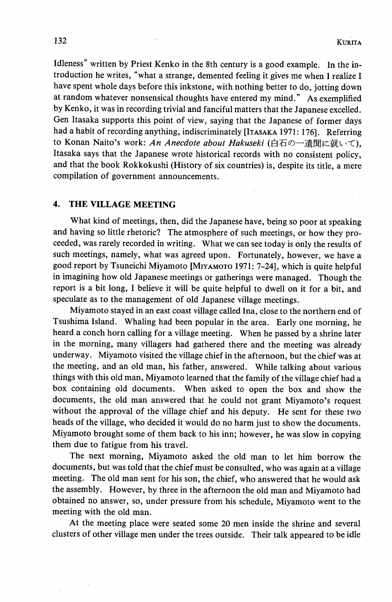Idleness" written by Priest Kenko in the 8th century is a good example. In the introduction he writes, "what a strange, demented feeling it gives me when I realize I have spent whole days before this inkstone, with nothing better to do, jotting down at random whatever nonsensical thoughts have entered my mihd." As exemplified by Kenko, it was in recording trivial and fanciful matters that the Japanese excelled. Gen Itasaka supports this point of view, saying that the Japanese of former days had a habit of recording anything, indiscriminately [ITASAKA 1971: 1761. Referring to Konan Naito's work: An Anecdote about Hakuseki (白石の一遺聞に就いて), Itasaka says that the Japanese wrote historical records with no consistent policy, and that the book Rokkokushi (History of six countries) is, despite its title, a mere compilation of government announcements.

#### 4. THE VILLAGE MEETING

 What kind of meetings, then, did the Japanese have, being so poor at speaking and having so little rhetoric? The atmosphere of such meetings, or how they proceeded, was rarely recorded in writing. What we can see today is only the results of such meetings, namely, what was agreed upon. Fortunately, however, we have a good report by Tsuneichi Miyamoto [MiyAMoTo,1971: 7-24], which is quite helpful in imagining how old Japanese meetings or gatherings were managed. Though the report is a bit long, I believe it will be quite helpful to dwell on it for a bit, and speculate as to the management of old Japanese village meetings.

 Miyamoto stayed in an east coast village called Ina, close to the northern end of Tsushima Island. Whaling had been popular in the area. Early one morning, he heard a conch horn calling for a village meeting. When he passed by a shrine later in the morning, many villagers had gathered there and the meeting was already underway. Miyamoto visited the village chief in the afternoon, but the chief was at the meeting, and an old man, his father, answered. While talking about various things with this old man, Miyamoto learned that the farpily of the village chief had a box containing old documents. When asked to open the box and show the documents, the old man answered that he could not grant Miyamoto's request without the approval of the village chief and his deputy. He sent for these two heads of the village, who decided it would do no harm just to show the documents. Miyamoto brought some of them back to his inn; however, he was slow in copying them due to fatigue from his travel.

The next morning, Miyamoto asked the old man to let him borrow the documents, but was told that the chief must be consulted, who was again at a village meeting. The old man sent for his son, the chief, who answered that he would ask the assembly. However, by three in the afternoon the old man and Miyamoto had obtained no answer, so, under pressure from his schedule, Miyamoto went to the

meeting with the old man.<br>At the meeting place were seated some 20 men inside the shrine and several clusters of other village men under the trees outside. Their talk appeared to be idle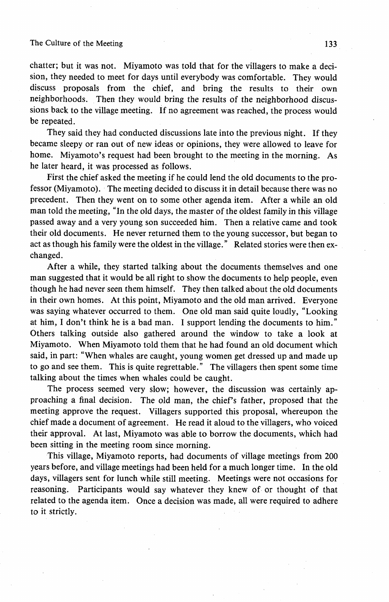chatter; but it was not. Miyamoto was told that for the villagers to make a decision, they needed to meet for days until everybody was comfortable. They would discuss proposals from the chief, and bring the results to their own neighborhoods. Then they would bring the results of the neighborhood discussions back to the village meeting. If no agreement was reached, the process would be repeated.

 They said they had conducted discussions late into the previous night. If they became sleepy or ran out of new ideas or opinions, they were allowed to leave for home. Miyamoto's request had been brought to the meeting in the morning. As he later heard, it was processed as follows.

 First the chief asked the meeting if he could lend the old documents to the professor (Miyamoto). ' The meeting decided to discuss it in detail because there was no precedent. Then they went on to some other agenda item. After a while an old man told the meeting, "In the old days, the master of the oldest family in this village passed away and a very young son succeeded him. Then a relative came and took their old documents. He never returned them to the young successor, but began to act as though his family were the oldest in the village." Related stories were then exchanged.

 After a while, they started talking about the documents themselves and one man suggested that it would be all right to show the documents to help people, even though he had never seen them himself. They then talked about the old documents in their own homes. At this point, Miyamoto and the old man arrived. Everyone was saying whatever occurred to them. One old man said quite loudly, "Looking at him, I don't think he is a bad man. I support lending the documents to him." Others talking outside also gathered around the window to take a look at Miyamoto. When Miyamoto told them that he had found an old document which said, in part: "When whales are caught, young women get dressed up and made up to go and see them. This is quite regrettable." The villagers then spent some time talking about the times when whales could be caught.

 The process seemed very slow; however, the discussion was certainly approaching a final decision. The old man, the chief's father, proposed that the meeting approve the request. Villagers supported this proposal, whereupon the chief made a document of agreement. He read it aloud to the villagers, who voiced their approval. At last, Miyamoto was able to borrow the documents, which had been sitting in the meeting room since morning.

This village, Miyamoto reports, had documents of village meetings from 200 years before, and village meetings had been held for a much longer time. In the old days, villagers sent for lunch while still meeting. Meetings were not occasions for reasoning. Participants would say whatever they knew of or thought of that related to the agenda item. Once a decision was made, all were required to adhere to it strictly.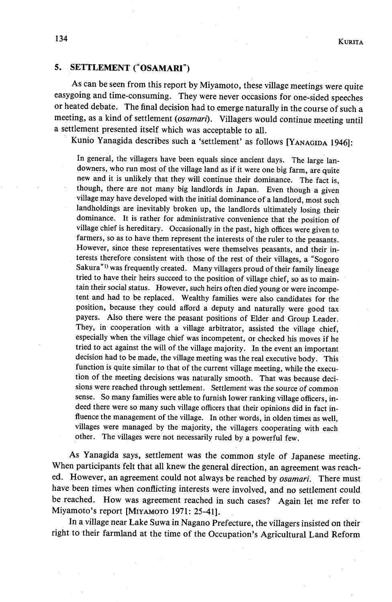## 5. SETTLEMENT ("OSAMARI")

As can be seen from this report by Miyamoto, these village meetings were quite easygoing and time-consuming. They were never occasions for one-sided speeches or heated debate. The final decision had to emerge naturally in the course of such a meeting, as a kind of settlement (osamari). Villagers would continue meeting until a settlement presented itself which was acceptable to all.

Kunio Yanagida describes such a 'settlement' as follows [YANAGIDA 1946]:

 In general, the villagers have been equals since ancient days. The large lan downers, who run most of the village land as if it were one big farm, are quite new and it is unlikely that they will continue their dominance. The fact is, though, there are not many big landlords in Japan. Even though a given village may have developed with the initial dominance of a landlord, most such landholdings are inevitably broken up, the landlords ultimately losing their dominance. It is rather for administrative convenience that the position of village chief is hereditary. Occasionally in the past, high offices were given to farmers, so as to have them represent the interests of the ruler to the peasants. However, since these representatives were themselves peasants, and their in terests therefore consistent with those of the rest of their villages, a "Sogoro Sakura"<sup>1)</sup> was frequently created. Many villagers proud of their family lineage tried to have their heirs succeed to the position of village chief, so as to main tain their social status. However, such heirs often died young or were incompe tent and had to be replaced. Wealthy families were also candidates for the position, because they could afford a deputy and naturally were good tax payers. Also there were the peasant positions of Elder and Group Leader. They, in cooperation with a village arbitrator, assisted the village chief, especially when the village chief was incompetent, or checked his moves if he tried to act against the will of the village majority. .In the event an important decision had to be made, the village meeting was the real executive body. This function is quite similar to that of the current village meeting, while the execu tion of the meeting decisions was naturally smooth. That was because deci sions were reached through settlement. Settlement was the source of comrnon sense. So many families were able to furnish lower ranking village officers, indeed there were so many such village officers that their opinions did in fact in fiuence the management of the village. In other words, in olden times as well, villages were managed by the majority, the villagers cooperating with each other. The villages were not necessarily ruled by a powerful few.

 As Yanagida says, settlement was the common style of Japanese meeting. When participants felt that all knew the general direction, an agreement was reached. However, an agreement could not always be reached by *osamari*. There must have been times when conflicting interests were involved, and no settlement could be reached. How was agreement reached in such cases? Again let me refer to Miyamoto's report [MiyAMoTo 1971: 25-41].

 In a village near Lake Suwa in Nagano Prefecture, the villagers insisted on their right to their farmland at the time of the Occupation's Agricultural Land Reform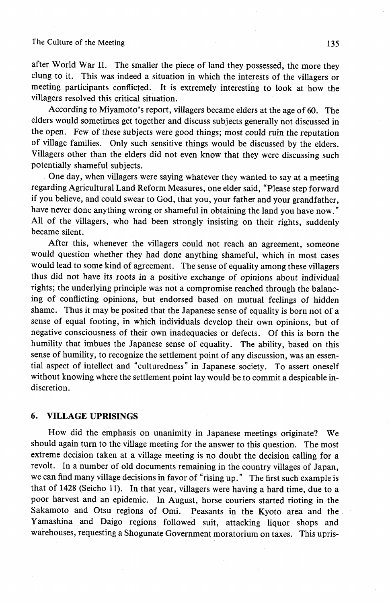after World War II. The smaller the piece of land they possessed, the more they clung to it. This was indeed a situation in which the interests of the villagers or meeting participants conflicted. It is extremely interesting to look at how the villagers resolved this critical situation.

 According to Miyamoto's report, villagers became elders at the age of 60. The elders would sometimes get together and discuss subjects generally not discussed in the open. Few of these subjects were good things; most could ruin the reputation of village families. Only such sensitive things would be discussed by the elders. Villagers other than the elders did not even know that they were discussing such potentially shameful subjects.

 One day, when villagers were saying whatever they wanted to say at a meeting regarding Agricultural Land Reform Measures, one elder said, "Please step forward if you believe, and could swear to God, that you, your father and your grandfather, have never done anything wrong or shameful in obtaining the land you have now." All of the villagers, who had been strongly insisting on their rights, suddenly became silent.

 After this, whenever the villagers could not reach an agreement, someone would question whether they had done anything shameful, which in most cases would lead to some kind of agreement. The sense of equality among these villagers thus did not have its roots in a positive exchange of opinions about individual rights; the underlying principle was not a compromise reached through the balancing of conflicting opinions, but endorsed based on mutual feelings of hjdden shame. Thus it may be posited that the Japanese sense of equality is born not of a sense of equal footing, in which individuals develop their own opinions, but of negative consciousness of their own inadequacies or defects. Of this is born the humility that imbues the Japanese sense of equality. The ability, based on this sense of humility, to recognize the settlement point of any discussion, was an essential aspect of intellect and "culturedness" in Japanese society. To assert oneself without knowing where the settlement point lay would be to commit a despicable indiscretion.

## 6. VILLAGE UPRISINGS

 How did the emphasis on unanimity in Japanese meetings originate? We should again turn to the village meeting for the answer to this question. The most extreme decision taken at a village meeting is no doubt the decision calling for a revolt. In a number of old documents remaining in the country villages of Japan, we can find many village decisions in favor of "rising up." The first such example is that of 1428 (Seicho 11). In that year, villagers were having a hard time, due to a poor harvest and an epidemic. In August, horse couriers started rioting in the Sakamoto and Otsu regions of Omi. Peasants in the Kyoto area and the Yamashina and Daigo regions followed suit, attacking liquor shops and warehouses, requesting a Shogunate Government moratorium on taxes. This upris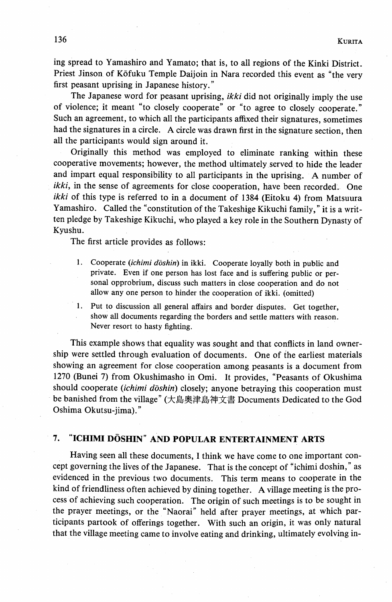ing spread to Yamashiro and Yamato; that is, to all regions of the Kinki District. Priest Jinson of Kōfuku Temple Daijoin in Nara recorded this event as "the very first peasant uprising in Japanese history."

The Japanese word for peasant uprising, *ikki* did not originally imply the use of violence; it meant "to closely cooperate" or "to agree to closely cooperate." Such an agreement, to which all the participants affixed their signatures, sometimes had the signatures in a circle. A circle was drawn first in the signature section, then all the participants would sign around it.

 Originally this method was employed to eliminate ranking within these cooperative movements; however, the method ultimately served to hide the leader and impart equal responsibility to all participants in the uprising. A number of ikki, in the sense of agreements for close cooperation, have been recorded. One ikki of this type is referred to in a document of 1384 (Eitoku 4) from Matsuura Yamashiro. Called the "constitution of the Takeshige Kikuchi family," it is a written pledge by Takeshige Kikuchi, who played a key role in the Southern Dynasty of Kyushu.

The-first article provides as follows:

- 1. Cooperate (*ichimi dōshin*) in ikki. Cooperate loyally both in public and private. Even if one person has lost face and is suffering public or personal opprobrium, discuss such matters in close cooperation and do not allow any one person to hinder the cooperation of ikki. (omitted)
- 1. Put to discussion all general affairs and border disputes. Get together show all documents regarding the borders and settle matters with reason. Never resort to hasty fighting.

 This example shows that equality was sought and that conflicts in land ownership were settled through evaluation of documents. One of the earliest materials showing an agreement for close cooperation among peasants is a document from 1270 (Bunei 7) from Okushimasho in Omi. It provides, "Peasants of Okushima should cooperate (ichimi dōshin) closely; anyone betraying this cooperation must be banished from the village" (大島奥津島神文書 Documents Dedicated to the God Oshima Okutsu-jima)."

## 7. "ICHIMI DOSHIN" AND POPULAR ENTERTAINMENT ARTS

 Having seen all these documents, I think we have come to one important concept governing the lives of the Japanese. That is the concept of "ichimi doshin," as evidenced in the previous two documents. This term means to cooperate in the kind of friendliness often achieved by dining together. A village meeting is the process of achieving such cooperation. The origin of such meetings is to be sought in the prayer meetings, or the "Naorai" held after prayer meetings, at which participants partook of offerings together. With such an origin, it was only natural that the village meeting came to involve eating and drinking, ultimately evolving in-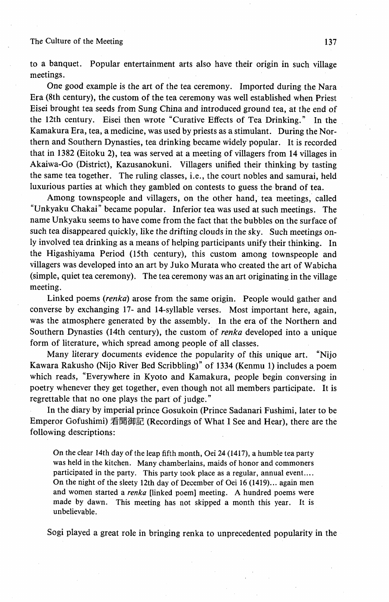to a banquet. Popular entertainment arts also have their origin in such village meetings.

 One good example is the art of the tea ceremony. Imported during the Nara Era (8th century), the custom of the tea ceremony was well established when Priest Eisei brought tea seeds from Sung China and introduced ground tea, at the end of the 12th century. Eisei then wrote "Curative Effects of Tea Drinking." In the Kamakura Era, tea, a medicine, was used by priests as a stimulant. During the Northern and Southern Dynasties, tea drinking became widely popular. It is recorded that in 1382 (Eitoku 2), tea was served at a meeting of villagers from 14 villages in Akaiwa-Go (District), Kazusanokuni. Villagers unified their thinking by tasting the same tea together. The ruling classes, i.e., the court nobles and samurai, held luxurious parties at which they gambled on contests to guess the brand of tea.

 Among townspeople and villagers, on the othet hand, tea meetings, called "Unkyaku Chakai" became popular. Inferior tea was used at such meetings. The name Unkyaku seems to have come from the fact that the bubbles on the surface of such tea disappeared quickly, like the drifting clouds in the sky. Such meetings only involved tea drinking as a means of helping participants unify their thinking. In the Higashiyama Period (15th century), this custom among townspeople and villagers was developed into an art by Juko Murata who created the art of Wabicha (simple, quiet tea ceremony). The tea ceremony was an art originating in the village meeting.

 Linked poems (renka) arose from the same origin. People would gather and converse by exchanging 17- and 14-syllable verses. Most important here, again, was the atmosphere generated by the assembly. In the era of the Northern and Southern Dynasties (14th century), the custom of *renka* developed into a unique form of literature, which spread among people of all classes.

 Many literary documents evidence the popularity of this unique art. "Nijo Kawara Rakusho (Nijo River Bed Scribbling)" of 1334 (Kenmu 1) includes a poem which reads, "Everywhere in Kyoto and Kamakura, people begin conversing in poetry whenever they get together, even though not all members participate. It is regrettable that no one plays the part of judge."

 In the diary by imperial prince Gosukoin (Prince Sadanari Fushimi, later to be Emperor Gofushimi) 看聞御記 (Recordings of What I See and Hear), there are the following descriptions:

On the clear 14th day of the leap fifth month, Oei 24 (1417), a humble tea party was held in the kitchen. Many chamberlains, maids of honor and commoners participated in the party. This party took place as a regular, annual event.... On the night of the sleety 12th day of December of Oei 16 (1419)... again men and women started a renka [linked poem] meeting. A hundred poems were made by dawn. This meeting has not skipped a month this year. It is unbelievable.

Sogi played a great role in bringing renka to unprecedented popularity in the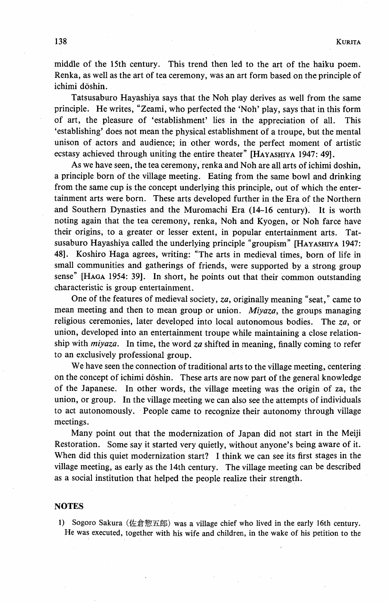middle of the 15th century. This trend then led to the art of the haiku poem. Renka, as well as the art of tea ceremony, was an art form based on the principle of ichimi dōshin.

 Tatsusaburo Hayashiya says that the Noh play derives as well from the same principle. He writes, "Zeami, who perfected the `Noh' play, says that in this form of art, the pleasure of `establishment' lies in the appreciation of all. This `establishing' does not mean the physical establishment of a troupe, but the mental unison of actors and audience; in other words, the perfect moment of artistic ecstasy achieved through uniting the entire theater" [HAYASHIYA 1947: 49].

 As we have seen, the tea ceremony, renka and Noh are all arts of ichimi doshin, a principle born of the village meeting. Eating from the same bowl and drinking from the same cup is the concept underlying this principle, out of which the entertainment arts were born. These arts developed further in the Era of the Northern and Southern Dynasties and the Muromachi Era (14-16 century). It is worth noting again that the tea ceremony, renka, Noh and Kyogen, or Noh farce have their origins, to a greater or lesser extent, in popular entertainment arts. Tatsusaburo Hayashiya called the underlying principle "groupism" [HAyAsHiyA 1947: 48]. Koshiro Haga agrees, writing: "The arts in medieval times, born of life in small communities and gatherings of friends, were supported by a strong group sense" [HAGA 1954: 39]. In short, he points out that their common outstanding characteristic is group entertainment.

One of the features of medieval society, za, originally meaning "seat," came to mean meeting and then to mean group or union. Miyaza, the groups managing religious ceremonies, later developed into local autonomous bodies. The  $za$ , or union, developed into an entertainment troupe while maintaining a close relationship with  $miyaza$ . In time, the word za shifted in meaning, finally coming to refer to an exclusively professional group.

 We have seen the connection of traditional arts to the village meeting, centering on the concept of ichimi dōshin. These arts are now part of the general knowledge of the Japanese. In other words, the village meeting was the origin of za, the union, or group. In the village meeting we can also see the attempts of individuals to act autonomously. People came to recognize their autonomy through village meetings.

 Many point out that the modernization of Japan did not start in the Meiji Restoration. Some say it started very quietly, without anyone's being aware of it. When did this quiet modernization start? I think we can see its first stages in the village meeting, as early as the 14th century. The village meeting can be described as a social institution that helped the people realize their strength.

#### **NOTES**

1) Sogoro Sakura (佐倉惣五郎) was a village chief who lived in the early 16th century. He was executed, together with his wife and children, in the wake of his petition to the